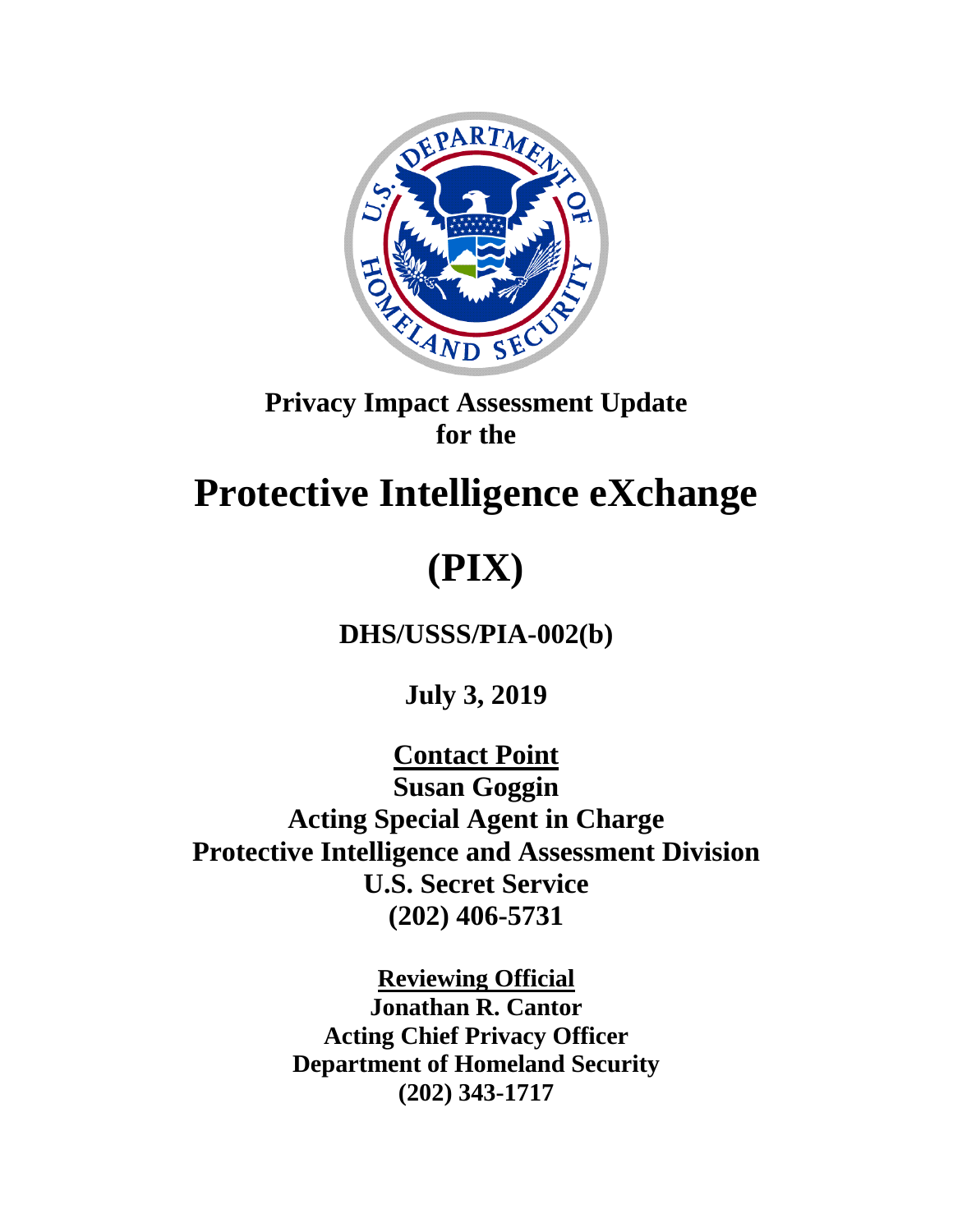

## **Privacy Impact Assessment Update for the**

## **Protective Intelligence eXchange**

# **(PIX)**

**DHS/USSS/PIA-002(b)**

**July 3, 2019**

**Contact Point Susan Goggin Acting Special Agent in Charge Protective Intelligence and Assessment Division U.S. Secret Service (202) 406-5731**

> **Reviewing Official Jonathan R. Cantor Acting Chief Privacy Officer Department of Homeland Security (202) 343-1717**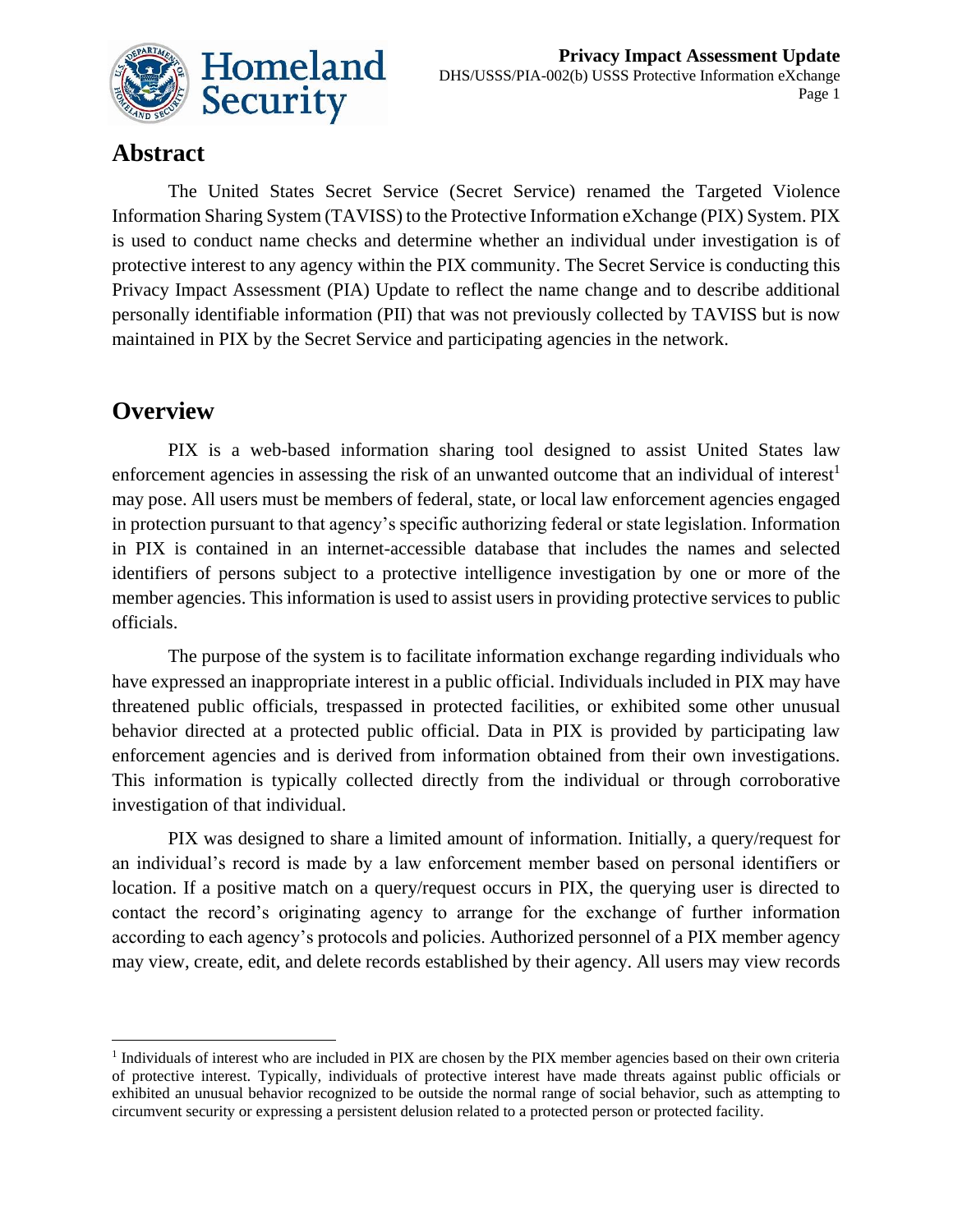

## **Abstract**

The United States Secret Service (Secret Service) renamed the Targeted Violence Information Sharing System (TAVISS) to the Protective Information eXchange (PIX) System. PIX is used to conduct name checks and determine whether an individual under investigation is of protective interest to any agency within the PIX community. The Secret Service is conducting this Privacy Impact Assessment (PIA) Update to reflect the name change and to describe additional personally identifiable information (PII) that was not previously collected by TAVISS but is now maintained in PIX by the Secret Service and participating agencies in the network.

### **Overview**

1

PIX is a web-based information sharing tool designed to assist United States law enforcement agencies in assessing the risk of an unwanted outcome that an individual of interest<sup>1</sup> may pose. All users must be members of federal, state, or local law enforcement agencies engaged in protection pursuant to that agency's specific authorizing federal or state legislation. Information in PIX is contained in an internet-accessible database that includes the names and selected identifiers of persons subject to a protective intelligence investigation by one or more of the member agencies. This information is used to assist users in providing protective services to public officials.

The purpose of the system is to facilitate information exchange regarding individuals who have expressed an inappropriate interest in a public official. Individuals included in PIX may have threatened public officials, trespassed in protected facilities, or exhibited some other unusual behavior directed at a protected public official. Data in PIX is provided by participating law enforcement agencies and is derived from information obtained from their own investigations. This information is typically collected directly from the individual or through corroborative investigation of that individual.

PIX was designed to share a limited amount of information. Initially, a query/request for an individual's record is made by a law enforcement member based on personal identifiers or location. If a positive match on a query/request occurs in PIX, the querying user is directed to contact the record's originating agency to arrange for the exchange of further information according to each agency's protocols and policies. Authorized personnel of a PIX member agency may view, create, edit, and delete records established by their agency. All users may view records

<sup>&</sup>lt;sup>1</sup> Individuals of interest who are included in PIX are chosen by the PIX member agencies based on their own criteria of protective interest. Typically, individuals of protective interest have made threats against public officials or exhibited an unusual behavior recognized to be outside the normal range of social behavior, such as attempting to circumvent security or expressing a persistent delusion related to a protected person or protected facility.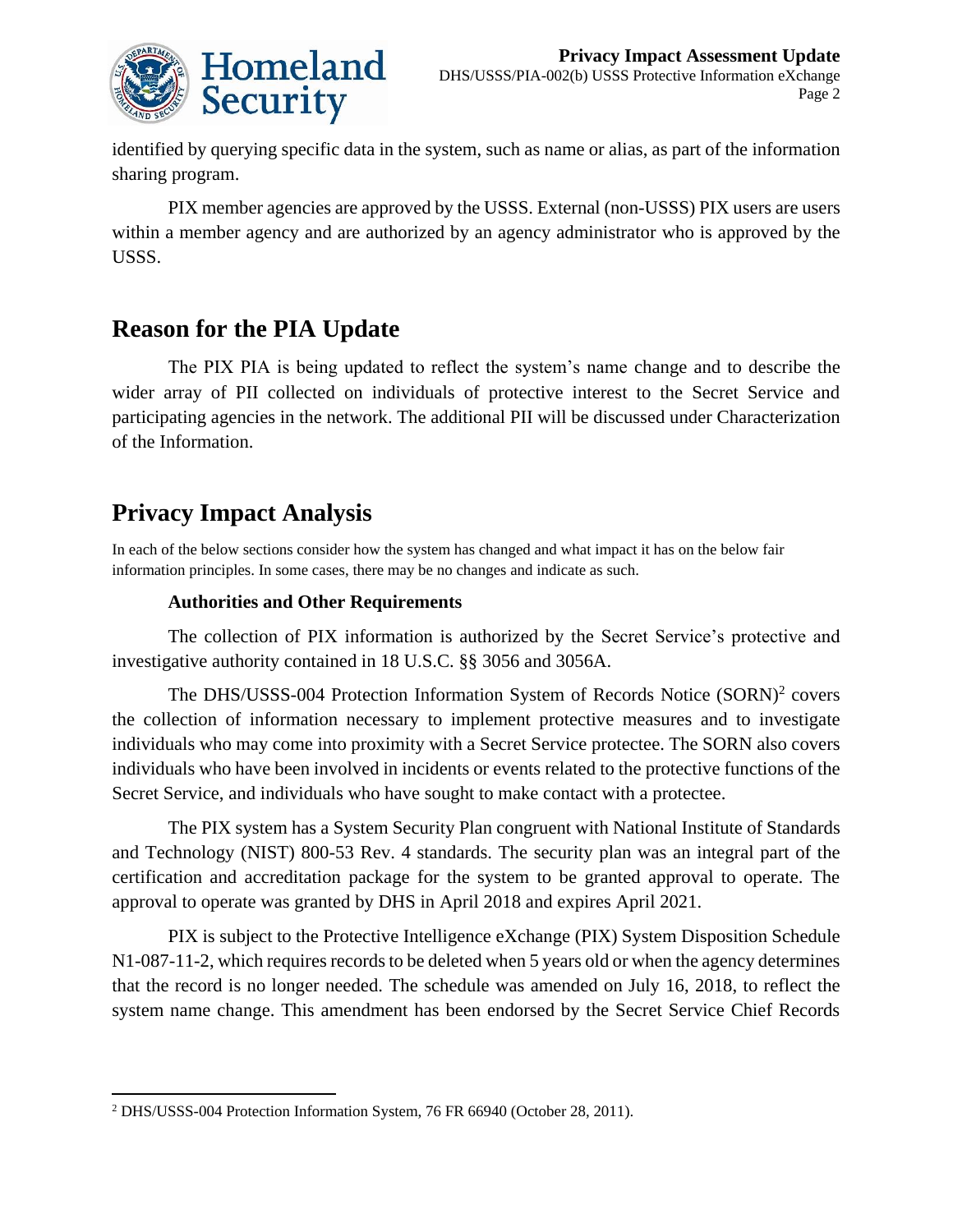

identified by querying specific data in the system, such as name or alias, as part of the information sharing program.

PIX member agencies are approved by the USSS. External (non-USSS) PIX users are users within a member agency and are authorized by an agency administrator who is approved by the USSS.

## **Reason for the PIA Update**

The PIX PIA is being updated to reflect the system's name change and to describe the wider array of PII collected on individuals of protective interest to the Secret Service and participating agencies in the network. The additional PII will be discussed under Characterization of the Information.

## **Privacy Impact Analysis**

1

In each of the below sections consider how the system has changed and what impact it has on the below fair information principles. In some cases, there may be no changes and indicate as such.

#### **Authorities and Other Requirements**

The collection of PIX information is authorized by the Secret Service's protective and investigative authority contained in 18 U.S.C. §§ 3056 and 3056A.

The DHS/USSS-004 Protection Information System of Records Notice (SORN)<sup>2</sup> covers the collection of information necessary to implement protective measures and to investigate individuals who may come into proximity with a Secret Service protectee. The SORN also covers individuals who have been involved in incidents or events related to the protective functions of the Secret Service, and individuals who have sought to make contact with a protectee.

The PIX system has a System Security Plan congruent with National Institute of Standards and Technology (NIST) 800-53 Rev. 4 standards. The security plan was an integral part of the certification and accreditation package for the system to be granted approval to operate. The approval to operate was granted by DHS in April 2018 and expires April 2021.

PIX is subject to the Protective Intelligence eXchange (PIX) System Disposition Schedule N1-087-11-2, which requires records to be deleted when 5 years old or when the agency determines that the record is no longer needed. The schedule was amended on July 16, 2018, to reflect the system name change. This amendment has been endorsed by the Secret Service Chief Records

<sup>2</sup> DHS/USSS-004 Protection Information System, 76 FR 66940 (October 28, 2011).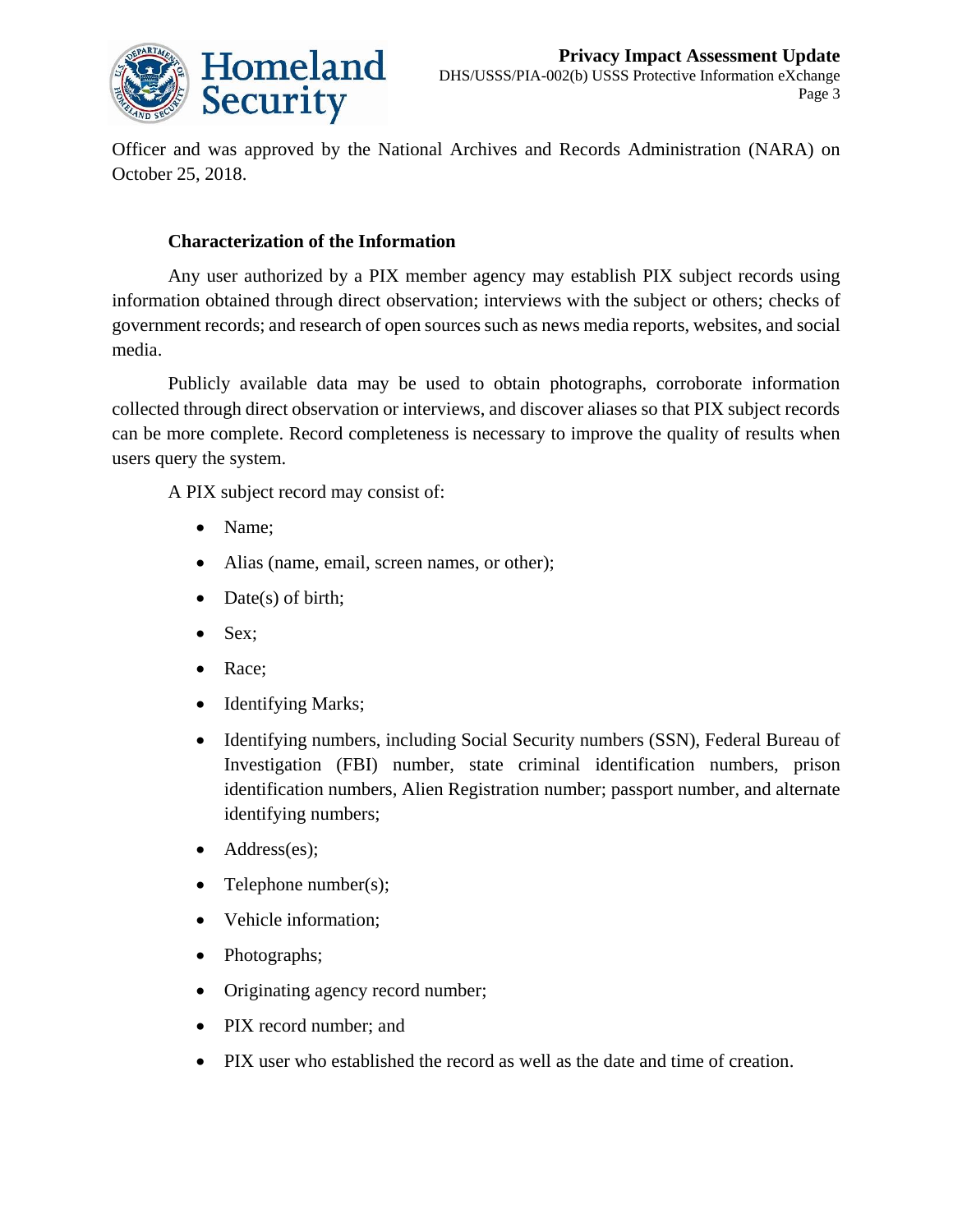

Officer and was approved by the National Archives and Records Administration (NARA) on October 25, 2018.

#### **Characterization of the Information**

Any user authorized by a PIX member agency may establish PIX subject records using information obtained through direct observation; interviews with the subject or others; checks of government records; and research of open sources such as news media reports, websites, and social media.

Publicly available data may be used to obtain photographs, corroborate information collected through direct observation or interviews, and discover aliases so that PIX subject records can be more complete. Record completeness is necessary to improve the quality of results when users query the system.

A PIX subject record may consist of:

- Name:
- Alias (name, email, screen names, or other);
- Date(s) of birth;
- Sex;
- Race:
- Identifying Marks;
- Identifying numbers, including Social Security numbers (SSN), Federal Bureau of Investigation (FBI) number, state criminal identification numbers, prison identification numbers, Alien Registration number; passport number, and alternate identifying numbers;
- Address(es);
- Telephone number(s);
- Vehicle information;
- Photographs;
- Originating agency record number;
- PIX record number; and
- PIX user who established the record as well as the date and time of creation.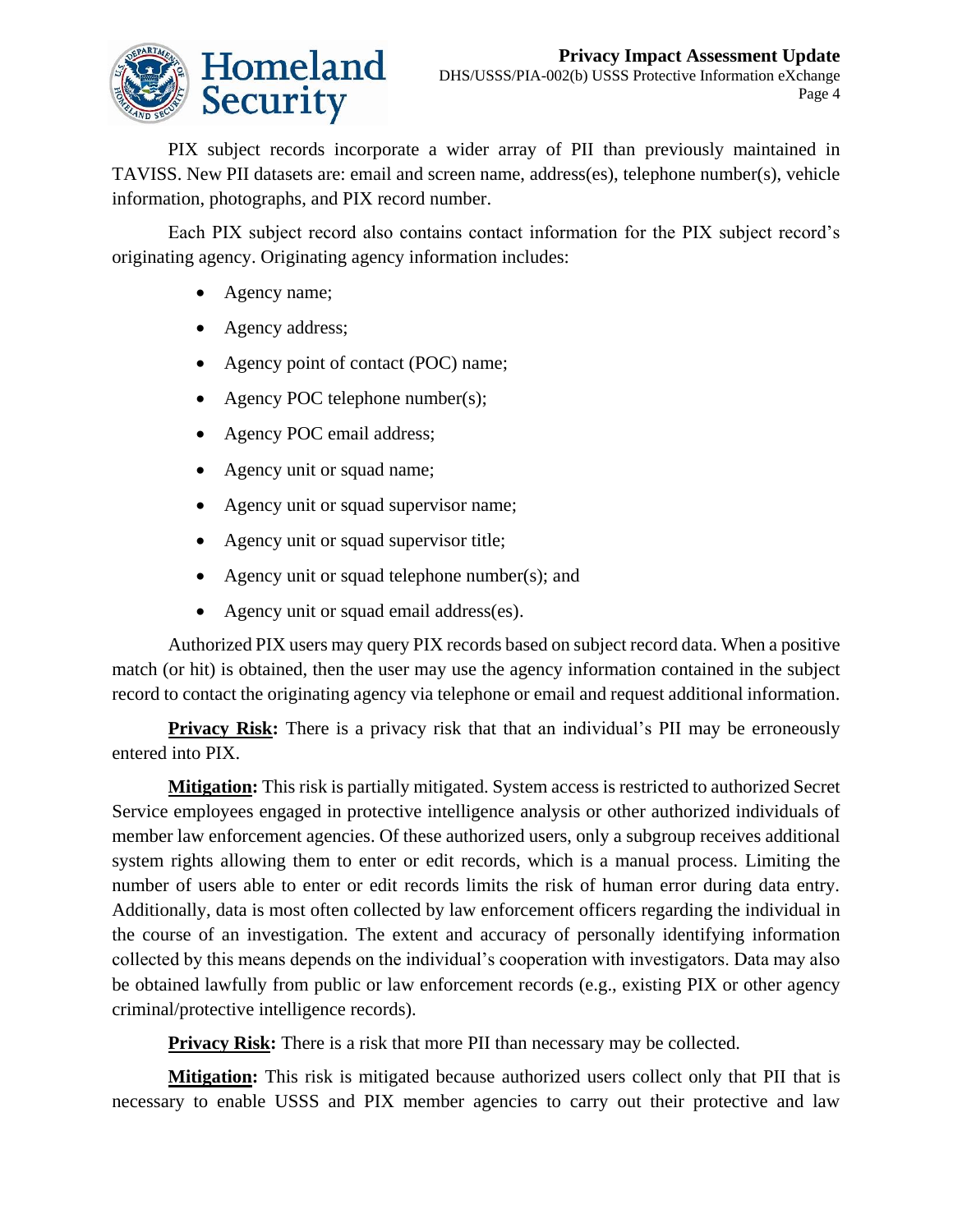

PIX subject records incorporate a wider array of PII than previously maintained in TAVISS. New PII datasets are: email and screen name, address(es), telephone number(s), vehicle information, photographs, and PIX record number.

Each PIX subject record also contains contact information for the PIX subject record's originating agency. Originating agency information includes:

- Agency name;
- Agency address:
- Agency point of contact (POC) name;
- Agency POC telephone number(s);
- Agency POC email address;
- Agency unit or squad name;
- Agency unit or squad supervisor name;
- Agency unit or squad supervisor title;
- Agency unit or squad telephone number(s); and
- Agency unit or squad email address(es).

Authorized PIX users may query PIX records based on subject record data. When a positive match (or hit) is obtained, then the user may use the agency information contained in the subject record to contact the originating agency via telephone or email and request additional information.

**Privacy Risk:** There is a privacy risk that that an individual's PII may be erroneously entered into PIX.

**Mitigation:** This risk is partially mitigated. System access is restricted to authorized Secret Service employees engaged in protective intelligence analysis or other authorized individuals of member law enforcement agencies. Of these authorized users, only a subgroup receives additional system rights allowing them to enter or edit records, which is a manual process. Limiting the number of users able to enter or edit records limits the risk of human error during data entry. Additionally, data is most often collected by law enforcement officers regarding the individual in the course of an investigation. The extent and accuracy of personally identifying information collected by this means depends on the individual's cooperation with investigators. Data may also be obtained lawfully from public or law enforcement records (e.g., existing PIX or other agency criminal/protective intelligence records).

**Privacy Risk:** There is a risk that more PII than necessary may be collected.

**Mitigation:** This risk is mitigated because authorized users collect only that PII that is necessary to enable USSS and PIX member agencies to carry out their protective and law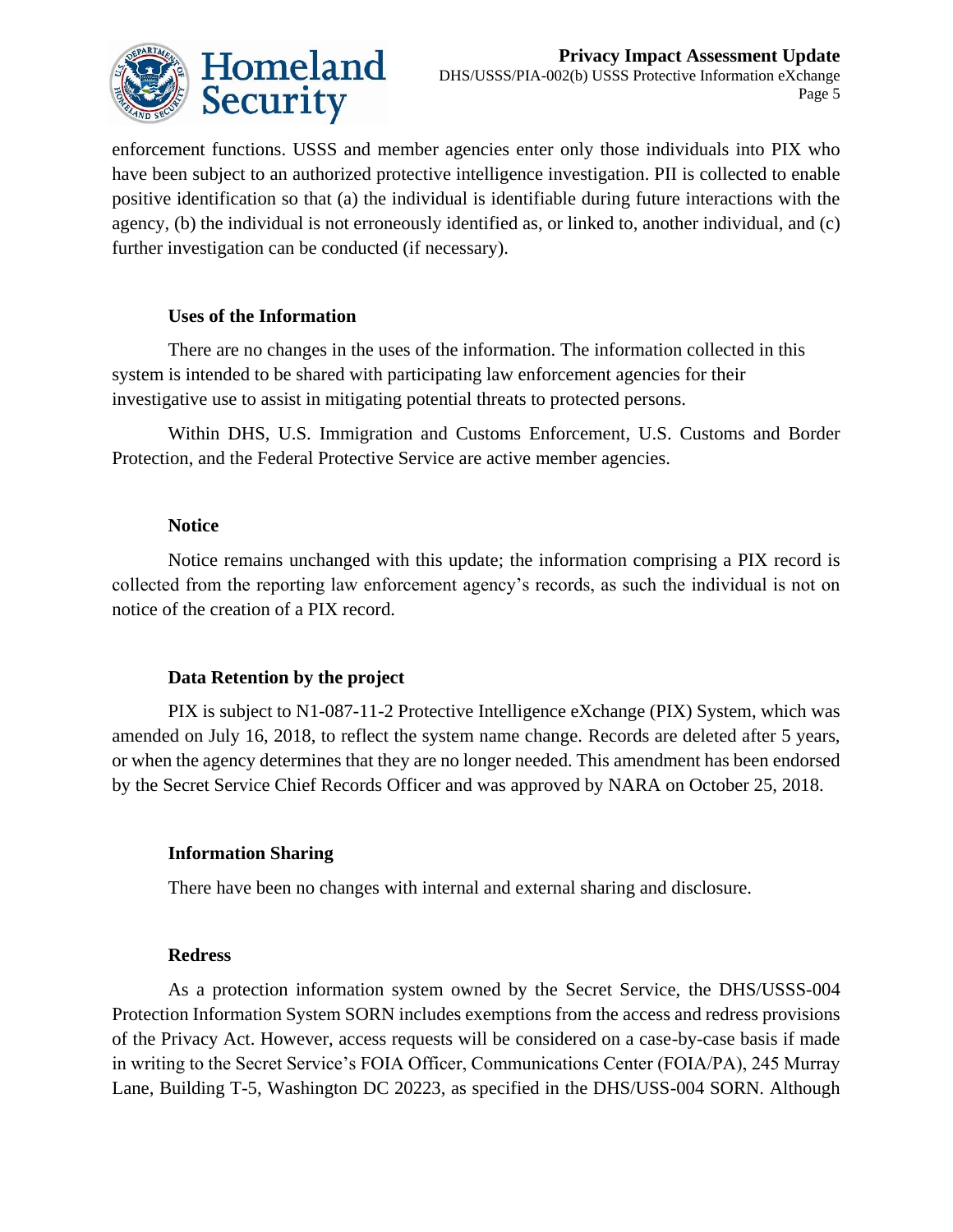

enforcement functions. USSS and member agencies enter only those individuals into PIX who have been subject to an authorized protective intelligence investigation. PII is collected to enable positive identification so that (a) the individual is identifiable during future interactions with the agency, (b) the individual is not erroneously identified as, or linked to, another individual, and (c) further investigation can be conducted (if necessary).

#### **Uses of the Information**

There are no changes in the uses of the information. The information collected in this system is intended to be shared with participating law enforcement agencies for their investigative use to assist in mitigating potential threats to protected persons.

Within DHS, U.S. Immigration and Customs Enforcement, U.S. Customs and Border Protection, and the Federal Protective Service are active member agencies.

#### **Notice**

Notice remains unchanged with this update; the information comprising a PIX record is collected from the reporting law enforcement agency's records, as such the individual is not on notice of the creation of a PIX record.

#### **Data Retention by the project**

PIX is subject to N1-087-11-2 Protective Intelligence eXchange (PIX) System, which was amended on July 16, 2018, to reflect the system name change. Records are deleted after 5 years, or when the agency determines that they are no longer needed. This amendment has been endorsed by the Secret Service Chief Records Officer and was approved by NARA on October 25, 2018.

#### **Information Sharing**

There have been no changes with internal and external sharing and disclosure.

#### **Redress**

As a protection information system owned by the Secret Service, the DHS/USSS-004 Protection Information System SORN includes exemptions from the access and redress provisions of the Privacy Act. However, access requests will be considered on a case-by-case basis if made in writing to the Secret Service's FOIA Officer, Communications Center (FOIA/PA), 245 Murray Lane, Building T-5, Washington DC 20223, as specified in the DHS/USS-004 SORN. Although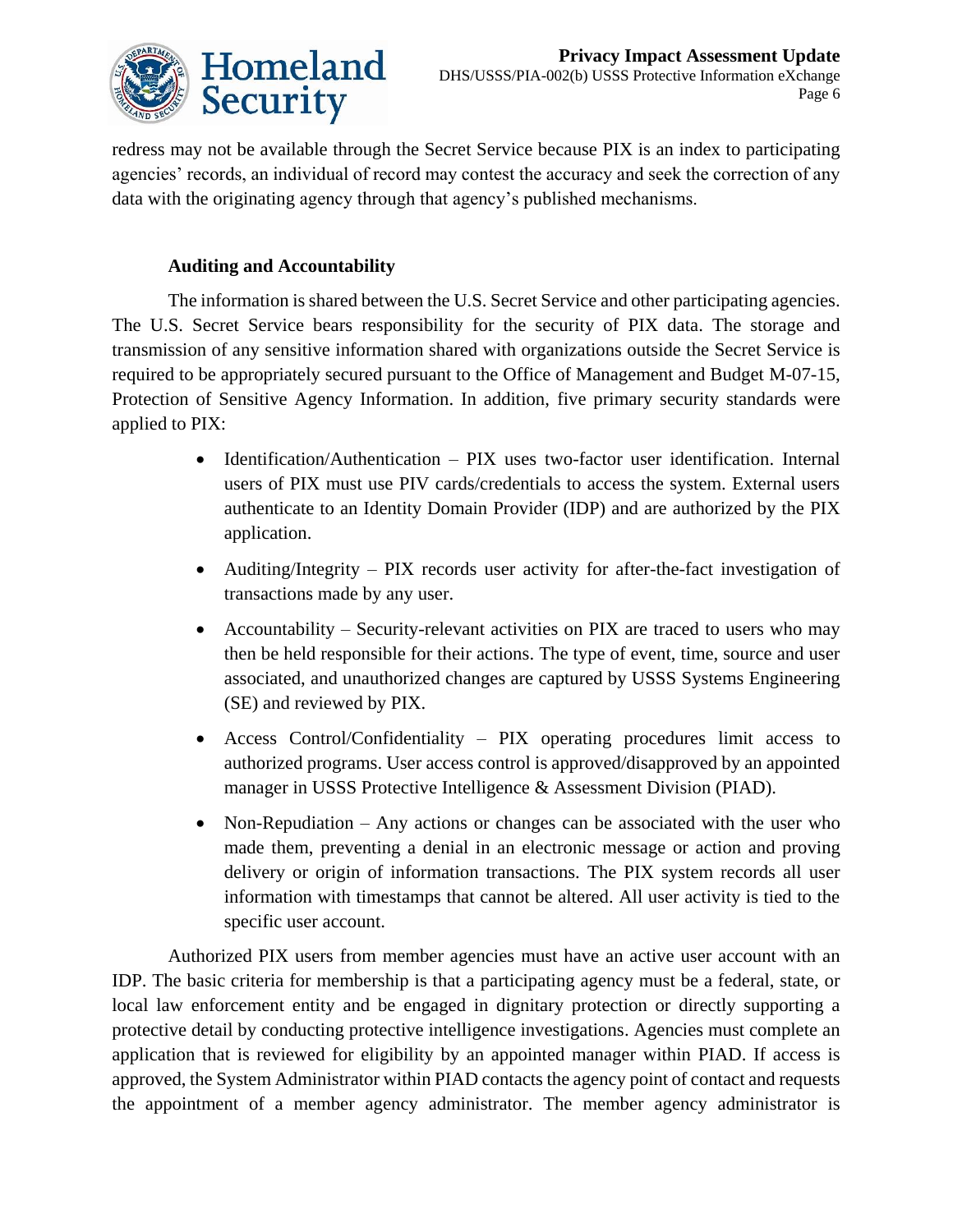

redress may not be available through the Secret Service because PIX is an index to participating agencies' records, an individual of record may contest the accuracy and seek the correction of any data with the originating agency through that agency's published mechanisms.

#### **Auditing and Accountability**

The information is shared between the U.S. Secret Service and other participating agencies. The U.S. Secret Service bears responsibility for the security of PIX data. The storage and transmission of any sensitive information shared with organizations outside the Secret Service is required to be appropriately secured pursuant to the Office of Management and Budget M-07-15, Protection of Sensitive Agency Information. In addition, five primary security standards were applied to PIX:

- Identification/Authentication PIX uses two-factor user identification. Internal users of PIX must use PIV cards/credentials to access the system. External users authenticate to an Identity Domain Provider (IDP) and are authorized by the PIX application.
- Auditing/Integrity PIX records user activity for after-the-fact investigation of transactions made by any user.
- Accountability Security-relevant activities on PIX are traced to users who may then be held responsible for their actions. The type of event, time, source and user associated, and unauthorized changes are captured by USSS Systems Engineering (SE) and reviewed by PIX.
- Access Control/Confidentiality PIX operating procedures limit access to authorized programs. User access control is approved/disapproved by an appointed manager in USSS Protective Intelligence & Assessment Division (PIAD).
- Non-Repudiation Any actions or changes can be associated with the user who made them, preventing a denial in an electronic message or action and proving delivery or origin of information transactions. The PIX system records all user information with timestamps that cannot be altered. All user activity is tied to the specific user account.

Authorized PIX users from member agencies must have an active user account with an IDP. The basic criteria for membership is that a participating agency must be a federal, state, or local law enforcement entity and be engaged in dignitary protection or directly supporting a protective detail by conducting protective intelligence investigations. Agencies must complete an application that is reviewed for eligibility by an appointed manager within PIAD. If access is approved, the System Administrator within PIAD contacts the agency point of contact and requests the appointment of a member agency administrator. The member agency administrator is